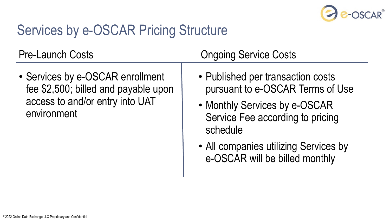

## Services by e-OSCAR Pricing Structure

• Services by e-OSCAR enrollment fee \$2,500; billed and payable upon access to and/or entry into UAT environment

## Pre-Launch Costs **Costs Costs Congoing Service Costs**

- Published per transaction costs pursuant to e-OSCAR Terms of Use
- Monthly Services by e-OSCAR Service Fee according to pricing schedule
- All companies utilizing Services by e-OSCAR will be billed monthly